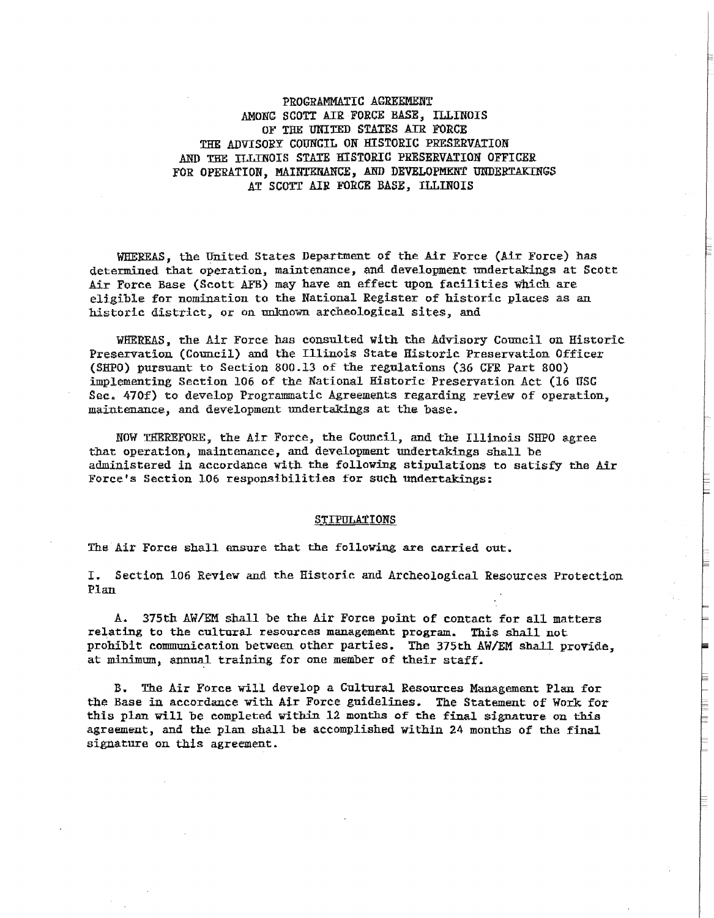PROGRAMMATIC AGREEMENT AMONG SCOTT AIR FORCE BASE, ILLINOIS OF THE UNITED STATES AIR FORCE THE ADVISORY COUNCIL ON HISTORIC PRESERVATION AND THE TLLINOIS STATE HISTORIC PRESERVATION OFFICER FOR OPERATION, MAINTENANCE, AND DEVELOPMENT UNDERTAKINGS AT SCOTT AIR FORCE BASE, ILLINOIS

WHEREAS, the United States Department of the Air Force (Air Force) has determined that operation, maintenance, and development undertakings at Scott Air Force Base (Scott AFB) may have an effect upon facilities which are eligible for nomination to the National Register of historic places as an historic district, or on unknown archeological sites, and

WHEREAS, the Air Force has consulted with the Advisory Council on Historic. Preservation (Council) and the Illinois State Historic Preservation Officer (SHPO) pursuant to Section 800.13 0£ the regulations (36 CFR Part 800) implementing Section 106 of the National Historic Preservation Act (16 USC Sec. 470f) to develop Programmatic Agreements regarding review of operation, maintenance, and development undertakings at the base.

NOW THEREFORE, the Air Force, the Council, and the Illinois SHPO agree that operation, maintenance, and development undertakings shall be administered in accordance with the following stipulations to satisfy the Air Force's Section 106 responsibilities for such undertakings:

#### **STIPULATIONS**

The Air Force shall ensure that the following are carried out.

I. Section 106 Review and the Historic and Archeological Resources Protection Plan

A. 375th AW/EM shall be the Air Force point of contact for all matters relating to the cultural resources management program. This shall not prohibit communication between other parties. The 375th AW/EM shall provide, at minimum, annual training for one member of their staff.

B. The Air Force will develop a Cultural Resources Management Plan for the Base in accordance with Air Force guidelines. The Statement of Work for this plan will be completed within 12 months of the final signature on this agreement, and the plan shall be accomplished within 24 months of the final signature on this agreement.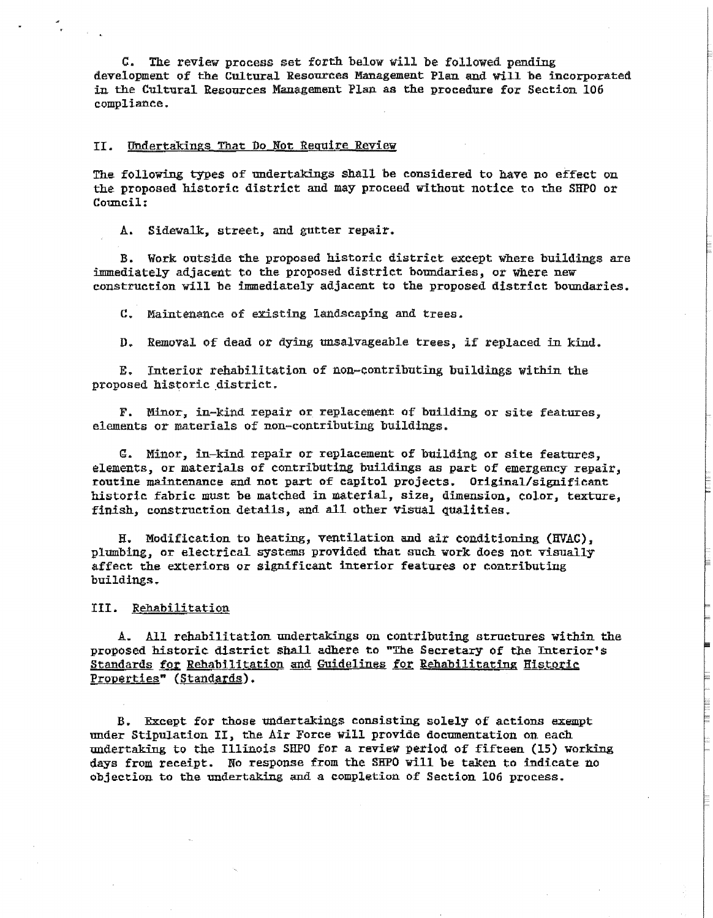C. The review process set forth below will be followed pending development of the Cultural Resources Management Plan and will be incorporated in the Cultural Resources Management Plan as the procedure for Section 106 compliance.

#### II. Undertakings That Do Not Require Review

The following types of undertakings shall be considered to have no effect ou the proposed historic district and may proceed without notice to the SHPO or Council:

.A.. Sidewalk, street, and gutter repair.

B. Work outside the proposed historic district exeept where buildings are immediately adjacent to the proposed district boundaries, or where new construction will be immediately adjacent to the proposed district boundaries.

C. Maintenance of existing landscaping and trees.

D. Removal of dead or dying unsalvageable trees, if replaced in kind.

E. Interior rehabilitation of non-contributing buildings within the proposed historic district.

F. Minor, in-kind repair or replacement of building or site features, elements or materials of non-contributing buildings.

G. Minor., in-kind repair or replacement of building or site features, elements, or materia1s of contributing buildings as part of emergency repair, routine maintenance and not part of capitol projects. Original/significant historic fabric must be matched in material, size, dimension, color, texture, finish, construction details, and all other visual qualities.

H. Modification to heating, ventilation and air conditioning (HVAC), plumbing, or electrical systems provided that such work does not visually affect the exteriors or significant interior features or contributing buildings.

#### III. Rehabilitation

A. All rehabilitation undertakings on contributing structures within the proposed historic district shall adhere to "The Secretary of the Interior's Standards for Rehabilitation and Guidelines for Rehabilitating Historic Properties" (Standards).

B. Except for those undertakings consisting solely of actions exempt under Stipulation II, the Air Force will provide documentation on each undertaking to the Illinois SHPO for a review period of fifteen (15) working days from receipt. No response from the SHPO will be taken to indicate no objection to the undertaking and a completion of Section 106 process.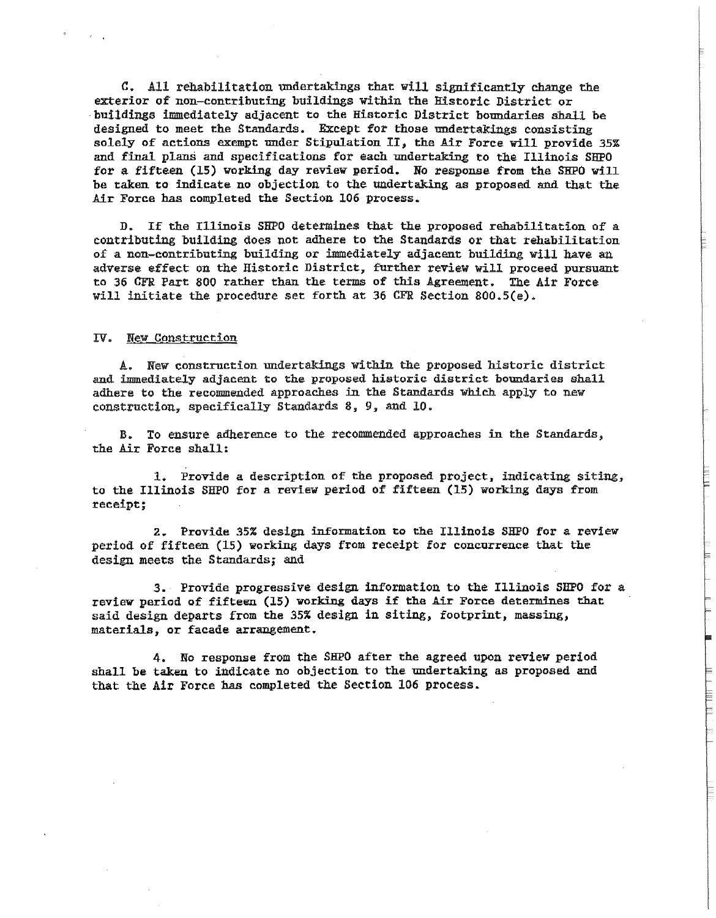C. All rehabilitation undertakings that will significantly change the exterior of non-contributing buildings within the Historic District or buildings immediately adjacent to the Historic District boundaries shall be designed to meet the Standards. Except for those undertakings consisting solely of actions exempt under Stipulation II, the Air Force will provide 35% and final plans and specifications for each undertaking to the Illinois SHPO for a fifteen (15) working day review period. No response from the SHPO will be taken. to indicate no objection to the undertaking as proposed and that the **Air Force has completed the Section 106 process.** 

D. If the Illinois SHPO determines that the proposed rehabilitation of a contributing building does not adhere to the Standards or that rehabilitation of a non-contributing building or immediately adjacent building will have an adverse effect on the Historic District, further review will proceed pursuant to 36 GFR Part 800 rather than the terms of this Agreement. The Air Force will initiate the procedure set forth at 36 CFR Section 800.S(e).

#### *IV.* New Constroction

A. New construction undertakings within the proposed historic district and immediately adjacent to the proposed historic district boundaries shall adhere to the recommended approaches in the Standards which apply to new construction. specifically Standards 8, 9, and 10.

B. To ensure adherence to the recommended approaches in the Standards, the Air Force shall:

1. Provide a description of the proposed project, indicating siting, to the Illinois SHPO for a review period of fifteen (15) working days from receipt;

2. Provide 35% design information to the Illinois SHPO for a review period of fifteen (15) working days from receipt for concurrence that the design meets the Standards; and

*3.* Provide progressive design information to the Illinois SHPO for a review period of fifteen (15) working days if the Air Farce determines that said design departs from the 35% design in siting, footprint, massing, materials, or facade arrangement.

4. No response from the SHPO after the agreed upon review period shall be taken to indicate no objection to the undertaking as proposed and that the Air Force has completed the Section 106 process.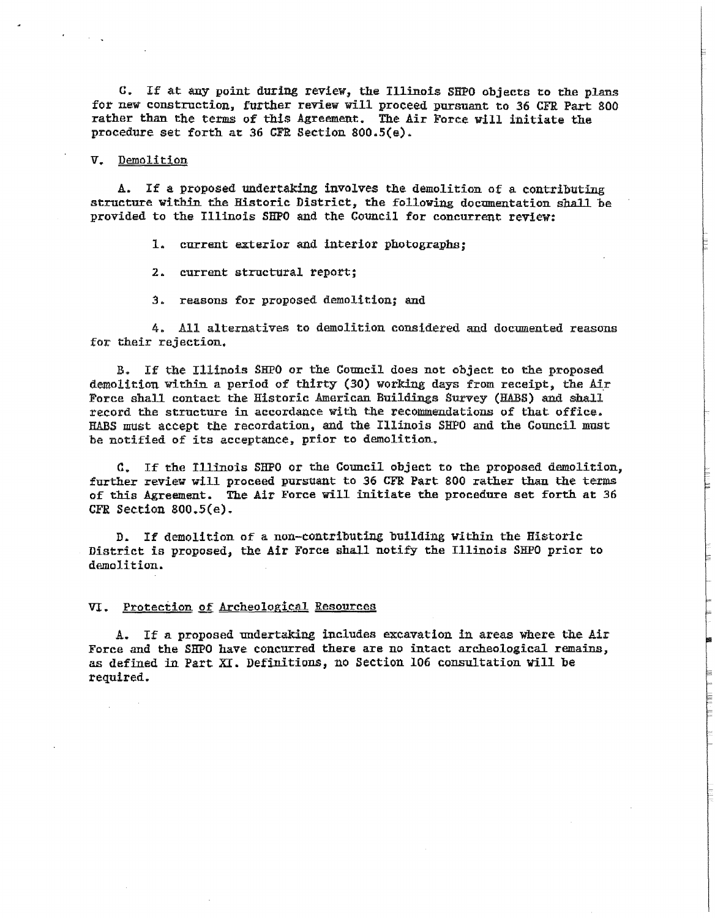C. If at any point during review, the Illinois SHPO objects to the plans for new construction, further review will proceed pursuant to 36 CFR Part 800 rather than the terms of this Agreement. The Air Force will initiate the procedure set forth at 36 CFR Section 800.S(e).

# v. Demolition

A. If a proposed undertaking involves the demolition of a contributing structure within the Historic District, the following documentation shall be proYided to the Illinois SHPO and the Council for concurrent review:

1. current exterior and interior photographs;

2. current structural report;

*3.* reasons for proposed demolition; and

4. All alternatives to demolition considered and documented reasons for their rejection.

B. If the Illinois SHPO or the Council does not object to the proposed demolition within a period of thirty (30) working days from receipt, the Air Force shall contact the Historic American Buildings Survey (HABS) and shall record the structure in accordance with the recommendations of that office. HABS must accept the recordation, and the Illinois SHPO and the Gouncil must be notified of its acceptance, prior to demolition.

C. If the Illinois SHPO or the Council object to the proposed demolition, further review will proceed pursuant to 36 CFR Part 800 rather than the terms of this Agreement. The Air Force will initiate the procedure set forth at *36*  CFR Section 800.5(e).

D. If demolition of a non-contributing building within the Historic District is proposed, the Air Force shall notify the Illinois SHPO prior to demolition.

# **VI.** Protection of Archeological Resources

**A.** If a proposed undertaking includes excavation in areas where the Air Force and the SHPO have. concurred there are no intact archeological remains, as defined in. Part XI. Definitions, no Section 106 consultation will be required.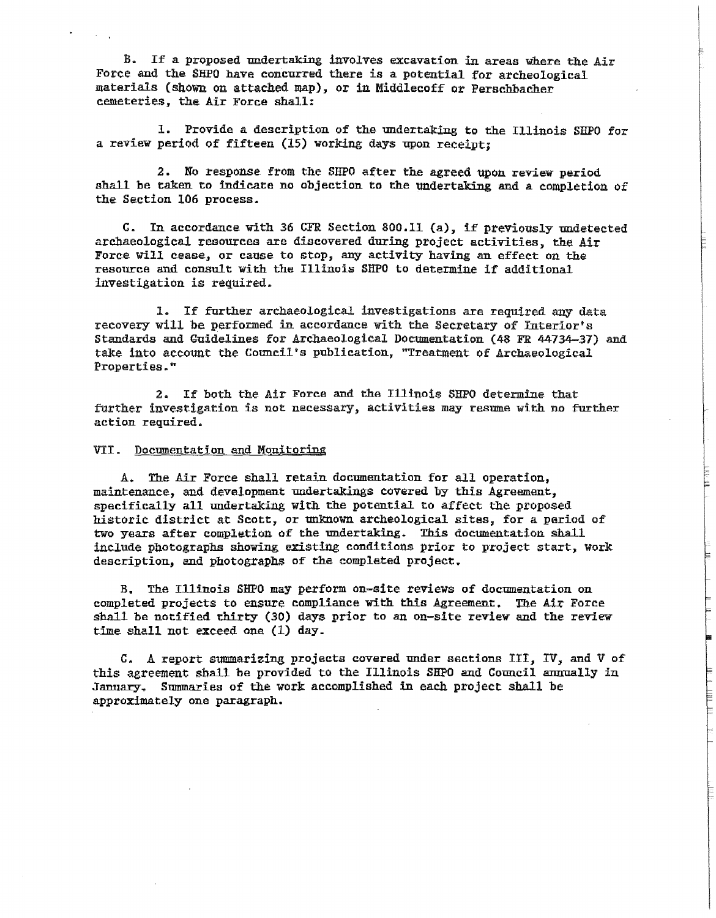B. If a proposed undertaking involves excavation in areas where the Air Force and the SHPO have concurred there is a potential for archeological materials (shown on attached map), or in Middlecoff or Perschbacher cemeteries, the Air Force shall:

1. Provide a description of the undertaking to the Illinois SIIPO for a review period of fifteen (15) working days upon receipt;

2. No response from the SHPO after the agreed upon review period shall be taken to indicate no objection to the undertaking and a completion of the Section 106 process.

C. In accordance with 36 CFR. Section 800.11 (a), if previously undetected archaeological resources are discovered during project activities, the Air Force Will cease, or cause to stop, any activity having an effect on the resource and consult with the Illinois SHPO to determine if additional investigation is required.

1. If further archaeological investigations are required any data recovery will be performed in accordance with the Secretary of Interior's Standards and Guidelines for Archaeological Documentation (48 FR 44734-37) and take into account the Council's publication, "Treatment of Archaeological Properties."

2. If both the Air Force and the Illinois SHPO determine that further investigation is not necessary, activities may resume with no further action required.

#### VII. Documentation and Monitoring

A. The Air Force shall retain documentation for all operation, maintenance, and development undertakings covered by this Agreement, specifically all undertaking with the potential to affect the proposed historic district at Scott, or unknown archeological sites, for a period of two years after completion of the undertaking. This documentation shall include photographs showing existing conditions prior to project start. Work description, and photographs of the completed project.

B. The Illinois SHPO may perform on-site reviews of documentation on completed projects to ensure compliance with this Agreement. The Air Force shall be notified thirty (30) days prior to an on-site review and the review time shall not exceed one (1) day.

C. A report summarizing projects covered under sections III. IV, and V of this agreement shall be provided to the Illinois SHPO and Council annually in January. Summaries of the work accomplished in each project shall be approximately one paragraph.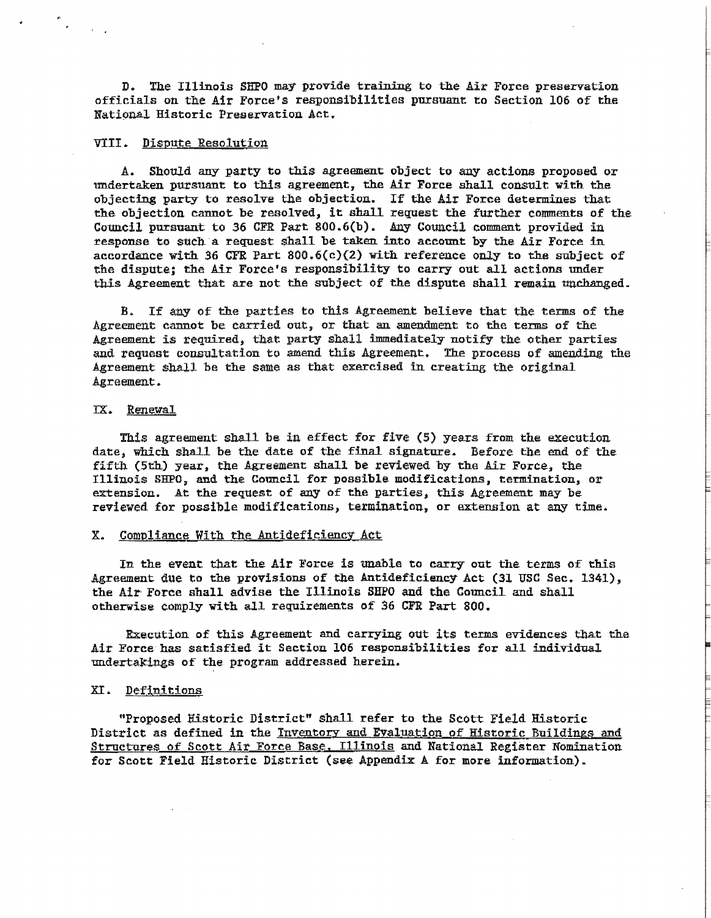D. The Illinois SHPO may provide training to the Air Force preservation officials on. the Air Force's responsibilities pursuant to Section 106 of the National Historic Preservation Act.

### VIII. Dispute Resolution

A. Should any party to this agreement object to any actions proposed or undertaken pursuant to this agreement, the Air Force shall consult with the objecting party to resolve the objection. If the Air Force determines that the objection cannot be resolved, it shall request the further comments of the Council pursuant to 36 GFR Part 800.6(b). Any Council comment provided in response to such a request shall be taken into account by the Air Force in accordance with 36 GFR Part  $800.6(c)(2)$  with reference only to the subject of the dispute; the Air Force's responsibility to carry out all actions under this Agreement that are not the subject of the dispute shall remain unchanged.

B. If any of the parties to this Agreement believe that the terms of the Agreement cannot be carried out, or that an. amendment to the terms of the Agreement is required, that party shall immediately notify the other parties and request consultation to amend this Agreement. The process of amending the Agreement shall be the same as that exercised in creating the original Agreement.

#### IX. Renewal

This agreement shall be in effect for five  $(5)$  years from the execution date, which shall be the date of the final signature. Before the end of the fifth (5th) year, the Agreement shall be reviewed by the Air Force, the Illinois SHPO, and the Council for possible modifications, termination, or extension. At the request of any of the parties, this Agreement may be reviewed for possible modifications, termination, or extension at any time.

# X. Compliance With the Antideficiency Act

In the event that the Air Force is unable to carry out the terms of this Agreement due to the provisions of the Antideficiency Act (31 USC Sec. 1341), the Air Force shall advise the Illinois SHPO and the Council and shall otherwise comply with all requirements of 36 CFR Part 800.

Execution of this Agreement and carrying out its tenns evidences that the Air Force has satisfied it Section 106 responsibilities for all individual. undertakings of the program addressed herein.

### XI. Definitions

"Proposed Historic District" shall refer to the Scott Field Historic District as defined in the Inventory and Evaluation of Historic Buildings and Structures of Scott Air Force Base, Illinois and National Register Nomination for Scott Field Historic District (see Appendix A for more information).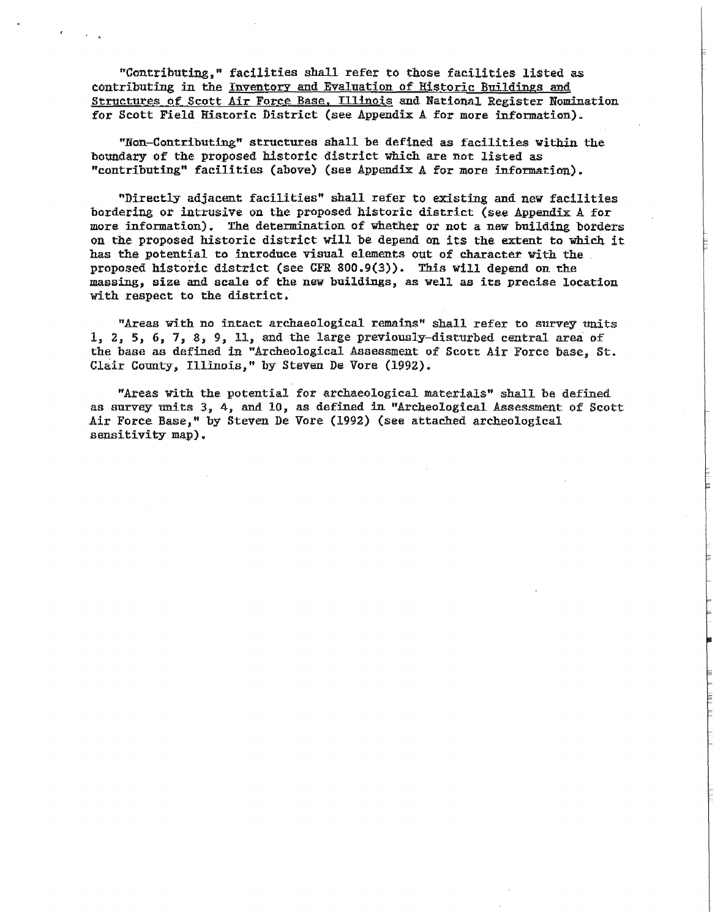ncontributing," facilities sha11 refer to those facilities listed as contributing in the Inventory and Evaluation of ffistoric Buildings and Structures of Scott Air Force Base, Illinois and National Register Nomination for Scott Field Historic District (see Appendix A for more information).

"Non-Contributing" structures shall be defined as facilities within. the boundary of the proposed historic district which are not listed as "contributing" facilities (above) (see Appendix A for more information).

"Directly adjacent facilities" shall refer to existing and new facilities bordering or intrusive on the proposed historic district (see Appendix  $A$  for more information). The determination of whether or not a new building borders on the proposed historic district will be depend on its the extent to which it has the potential to introduce visual elements out of character with the proposed historic district (see CFR 800.9(3)). This will depend on the massing, size and scale of the new buildings, as well as its precise location with respect to the district.

"Areas with no intact archaeological remains" shall refer to survey units  $1, 2, 5, 6, 7, 8, 9, 11,$  and the large previously-disturbed central area of the base as defined in "Archeological Assessment of Scott Air Force base, St. Clair County, Illinois," by Steven De Vore (1992).

"Areas with the potential for archaeological materials" shall be defined as survey units *3,* 4, and 10, as defined in "Archeological Assessment of Scott Air Force Base," by Steven De Vore (1992) (see attached archeological sensitivity map).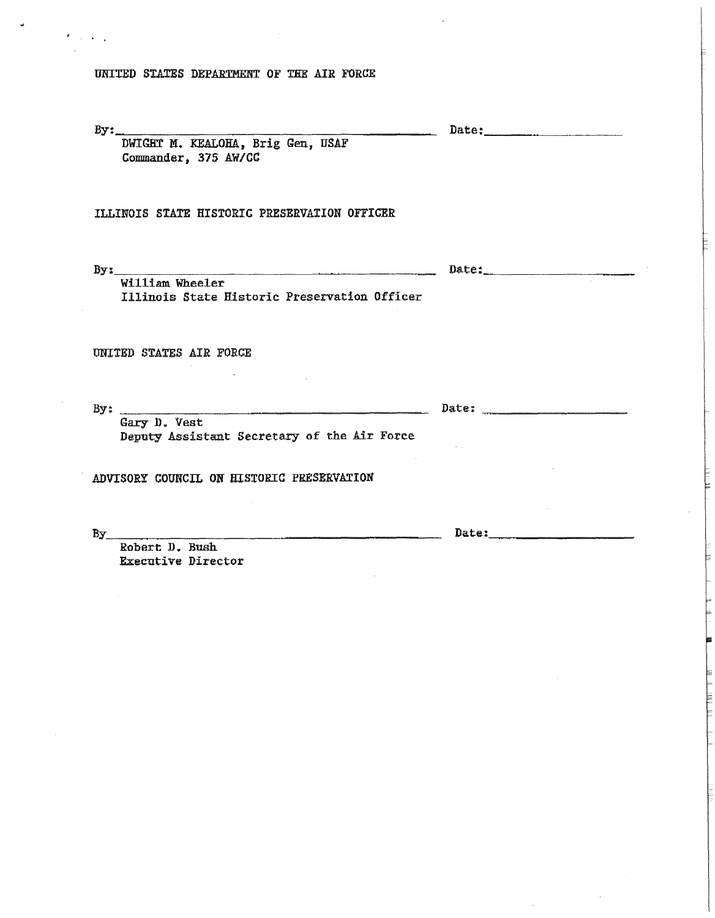UNITED STATES DEPARTMENT OF THE AIR FORCE

 $\text{By:}\quad\quad$ 

Date: \_\_\_\_\_\_\_\_ \_

DWIGBT M. KEALOHA, Brig Gen, USAF Commander; 375 AW/CC

# ILLINOIS STATE HISTORIC PRESERVATION OFFICER

 $By:$   $\frac{1}{x}$   $\frac{1}{x}$   $\frac{1}{x}$   $\frac{1}{x}$   $\frac{1}{x}$   $\frac{1}{x}$   $\frac{1}{x}$   $\frac{1}{x}$   $\frac{1}{x}$   $\frac{1}{x}$   $\frac{1}{x}$   $\frac{1}{x}$   $\frac{1}{x}$   $\frac{1}{x}$   $\frac{1}{x}$   $\frac{1}{x}$   $\frac{1}{x}$   $\frac{1}{x}$   $\frac{1}{x}$   $\frac{1}{x}$   $\frac{1}{x}$   $\frac{1}{$ 

William Wheeler Illinois State Historic Preservation Officer

UNITED STATES AIR FORCE

By:  $\frac{1}{\text{Gary D. Vest}}$  Date:  $\frac{1}{\text{D}}$ Gary D. Vest<br>Deputy Assistant Secretary of the Air Force ADVISORY COUNCIL ON HISTORIC PRESERVATION

 $By$  Date:

Robert D. Bush Executive Director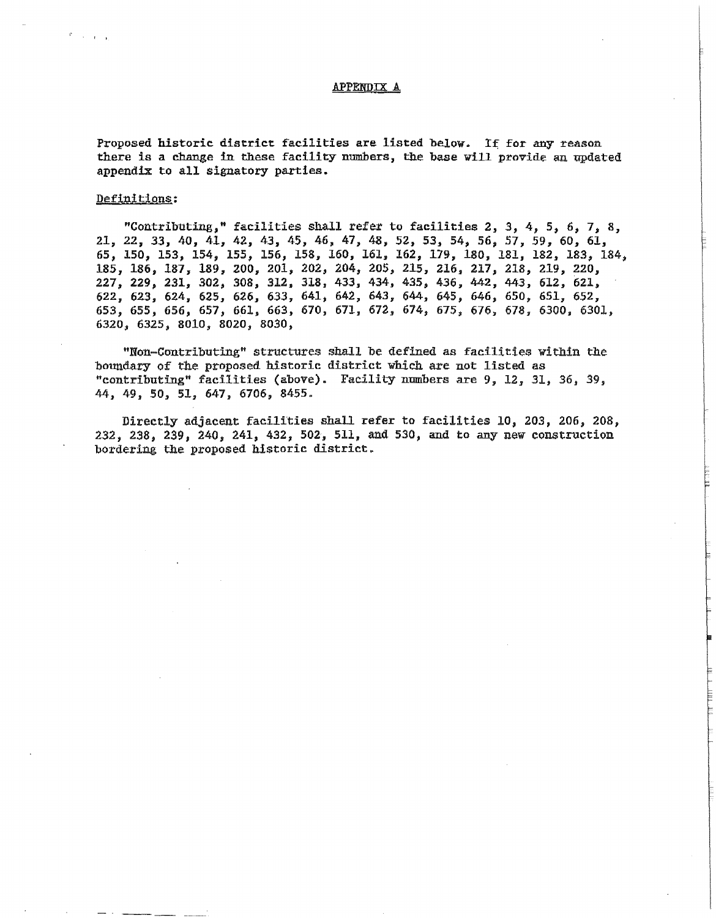#### APPENDIX A

Proposed historic district facilities are listed below. If for any reason there is a change in these facility numbers, the base will provide an updated appendix to all signatory parties.

### Definitions:

 $\sim$   $\sim$   $\sim$ 

"Contributing," facilities shall refer to facilities 2, *3,* 4, s, 6, *7,* 8, 21, 22, 33, 40, 41, 42, 43, 45, 46~ 47, 48, 52, 53J 54, *56,* 57, 59, 60, 61, 65, 150, 153, 154, 155, 156, 158, 160, 161, 162, 179, 180, 181, 182, 183, 184, 185, 186, 187, 189, 200, 201, 202, 204, 205, 215, 216) 217, 218, 219, 220, 227, 229, 231, 302, 308, 312, 318, 433, 434, 435, 436, 442, 443, 612, 621, 622, 623, 624, 625, 626, *633,* 641; 642, 643, 644, 645, 646, 650, 651, 652, 653, 655, 656, 657, 661, 663, 670, 671, 672, 674, 675i 676, 678, 6300, 6301, 6320, 6325; 8010, 8020, 8030,

"Non-Contributing" structures shall be defined as facilities within the boundary of the proposed historic district which are not listed as "contributing" facilities (above). Facility nmnbers are 9~ 12y 31, *36,* 39, 44, 49, so, 51, 647, 6706, 8455.

Directly adjacent facilities shall refer to facilities 10, 203, 206, 208, 232, 238, 239, 240, 241, 432, 502, 511, and *530,* and to any new construction bordering the proposed historic district.

بقنانه فاستنقشت